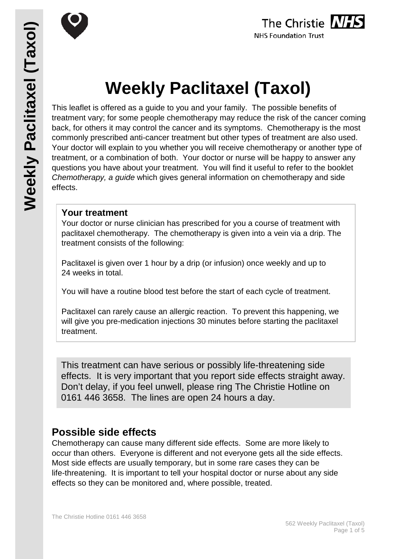



# **Weekly Paclitaxel (Taxol)**

This leaflet is offered as a guide to you and your family. The possible benefits of treatment vary; for some people chemotherapy may reduce the risk of the cancer coming back, for others it may control the cancer and its symptoms. Chemotherapy is the most commonly prescribed anti-cancer treatment but other types of treatment are also used. Your doctor will explain to you whether you will receive chemotherapy or another type of treatment, or a combination of both. Your doctor or nurse will be happy to answer any questions you have about your treatment. You will find it useful to refer to the booklet *Chemotherapy, a guide* which gives general information on chemotherapy and side effects.

### **Your treatment**

Your doctor or nurse clinician has prescribed for you a course of treatment with paclitaxel chemotherapy. The chemotherapy is given into a vein via a drip. The treatment consists of the following:

Paclitaxel is given over 1 hour by a drip (or infusion) once weekly and up to 24 weeks in total.

You will have a routine blood test before the start of each cycle of treatment.

Paclitaxel can rarely cause an allergic reaction. To prevent this happening, we will give you pre-medication injections 30 minutes before starting the paclitaxel treatment.

This treatment can have serious or possibly life-threatening side effects. It is very important that you report side effects straight away. Don't delay, if you feel unwell, please ring The Christie Hotline on 0161 446 3658. The lines are open 24 hours a day.

## **Possible side effects**

Chemotherapy can cause many different side effects. Some are more likely to occur than others. Everyone is different and not everyone gets all the side effects. Most side effects are usually temporary, but in some rare cases they can be life-threatening. It is important to tell your hospital doctor or nurse about any side effects so they can be monitored and, where possible, treated.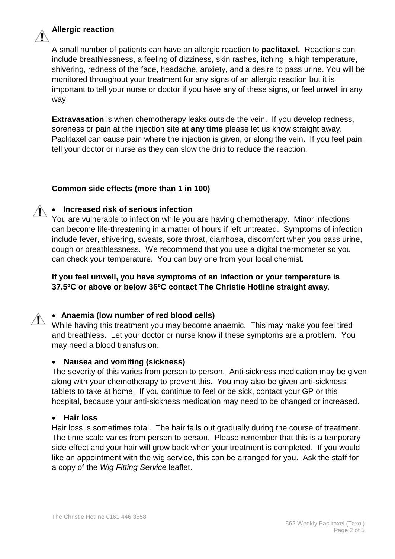

### **Allergic reaction**

A small number of patients can have an allergic reaction to **paclitaxel.** Reactions can include breathlessness, a feeling of dizziness, skin rashes, itching, a high temperature, shivering, redness of the face, headache, anxiety, and a desire to pass urine. You will be monitored throughout your treatment for any signs of an allergic reaction but it is important to tell your nurse or doctor if you have any of these signs, or feel unwell in any way.

**Extravasation** is when chemotherapy leaks outside the vein. If you develop redness, soreness or pain at the injection site **at any time** please let us know straight away. Paclitaxel can cause pain where the injection is given, or along the vein. If you feel pain, tell your doctor or nurse as they can slow the drip to reduce the reaction.

### **Common side effects (more than 1 in 100)**

### • **Increased risk of serious infection**

You are vulnerable to infection while you are having chemotherapy. Minor infections can become life-threatening in a matter of hours if left untreated. Symptoms of infection include fever, shivering, sweats, sore throat, diarrhoea, discomfort when you pass urine, cough or breathlessness. We recommend that you use a digital thermometer so you can check your temperature. You can buy one from your local chemist.

**If you feel unwell, you have symptoms of an infection or your temperature is 37.5ºC or above or below 36ºC contact The Christie Hotline straight away**.

### • **Anaemia (low number of red blood cells)**

While having this treatment you may become anaemic. This may make you feel tired and breathless. Let your doctor or nurse know if these symptoms are a problem. You may need a blood transfusion.

### • **Nausea and vomiting (sickness)**

The severity of this varies from person to person. Anti-sickness medication may be given along with your chemotherapy to prevent this. You may also be given anti-sickness tablets to take at home. If you continue to feel or be sick, contact your GP or this hospital, because your anti-sickness medication may need to be changed or increased.

### • **Hair loss**

Hair loss is sometimes total. The hair falls out gradually during the course of treatment. The time scale varies from person to person. Please remember that this is a temporary side effect and your hair will grow back when your treatment is completed. If you would like an appointment with the wig service, this can be arranged for you. Ask the staff for a copy of the *Wig Fitting Service* leaflet.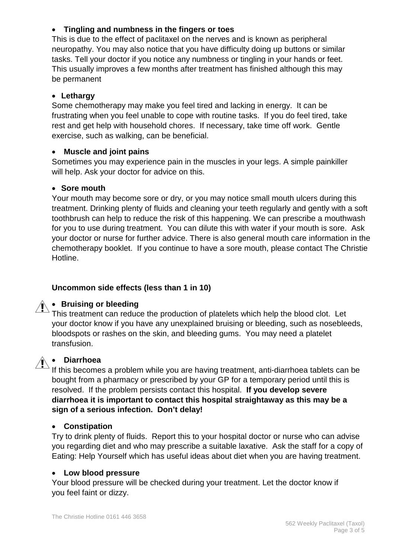### • **Tingling and numbness in the fingers or toes**

This is due to the effect of paclitaxel on the nerves and is known as peripheral neuropathy. You may also notice that you have difficulty doing up buttons or similar tasks. Tell your doctor if you notice any numbness or tingling in your hands or feet. This usually improves a few months after treatment has finished although this may be permanent

### • **Lethargy**

Some chemotherapy may make you feel tired and lacking in energy. It can be frustrating when you feel unable to cope with routine tasks. If you do feel tired, take rest and get help with household chores. If necessary, take time off work. Gentle exercise, such as walking, can be beneficial.

### • **Muscle and joint pains**

Sometimes you may experience pain in the muscles in your legs. A simple painkiller will help. Ask your doctor for advice on this.

### • **Sore mouth**

Your mouth may become sore or dry, or you may notice small mouth ulcers during this treatment. Drinking plenty of fluids and cleaning your teeth regularly and gently with a soft toothbrush can help to reduce the risk of this happening. We can prescribe a mouthwash for you to use during treatment. You can dilute this with water if your mouth is sore. Ask your doctor or nurse for further advice. There is also general mouth care information in the chemotherapy booklet. If you continue to have a sore mouth, please contact The Christie Hotline.

### **Uncommon side effects (less than 1 in 10)**

# • **Bruising or bleeding**

This treatment can reduce the production of platelets which help the blood clot. Let your doctor know if you have any unexplained bruising or bleeding, such as nosebleeds, bloodspots or rashes on the skin, and bleeding gums. You may need a platelet transfusion.

### • **Diarrhoea**

If this becomes a problem while you are having treatment, anti-diarrhoea tablets can be bought from a pharmacy or prescribed by your GP for a temporary period until this is resolved. If the problem persists contact this hospital. **If you develop severe diarrhoea it is important to contact this hospital straightaway as this may be a sign of a serious infection. Don't delay!**

### • **Constipation**

Try to drink plenty of fluids. Report this to your hospital doctor or nurse who can advise you regarding diet and who may prescribe a suitable laxative. Ask the staff for a copy of Eating: Help Yourself which has useful ideas about diet when you are having treatment.

### • **Low blood pressure**

Your blood pressure will be checked during your treatment. Let the doctor know if you feel faint or dizzy.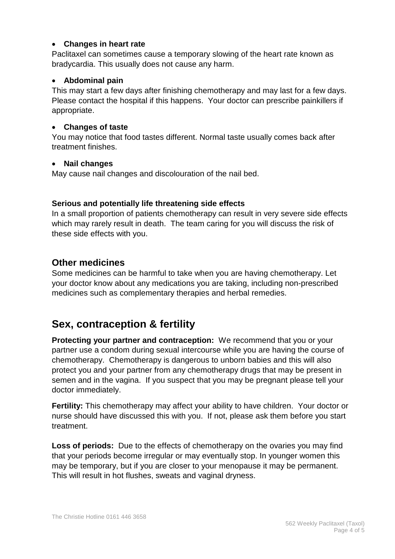### • **Changes in heart rate**

Paclitaxel can sometimes cause a temporary slowing of the heart rate known as bradycardia. This usually does not cause any harm.

### • **Abdominal pain**

This may start a few days after finishing chemotherapy and may last for a few days. Please contact the hospital if this happens. Your doctor can prescribe painkillers if appropriate.

### • **Changes of taste**

You may notice that food tastes different. Normal taste usually comes back after treatment finishes.

### • **Nail changes**

May cause nail changes and discolouration of the nail bed.

### **Serious and potentially life threatening side effects**

In a small proportion of patients chemotherapy can result in very severe side effects which may rarely result in death. The team caring for you will discuss the risk of these side effects with you.

### **Other medicines**

Some medicines can be harmful to take when you are having chemotherapy. Let your doctor know about any medications you are taking, including non-prescribed medicines such as complementary therapies and herbal remedies.

### **Sex, contraception & fertility**

**Protecting your partner and contraception:** We recommend that you or your partner use a condom during sexual intercourse while you are having the course of chemotherapy. Chemotherapy is dangerous to unborn babies and this will also protect you and your partner from any chemotherapy drugs that may be present in semen and in the vagina. If you suspect that you may be pregnant please tell your doctor immediately.

**Fertility:** This chemotherapy may affect your ability to have children. Your doctor or nurse should have discussed this with you. If not, please ask them before you start treatment.

**Loss of periods:** Due to the effects of chemotherapy on the ovaries you may find that your periods become irregular or may eventually stop. In younger women this may be temporary, but if you are closer to your menopause it may be permanent. This will result in hot flushes, sweats and vaginal dryness.